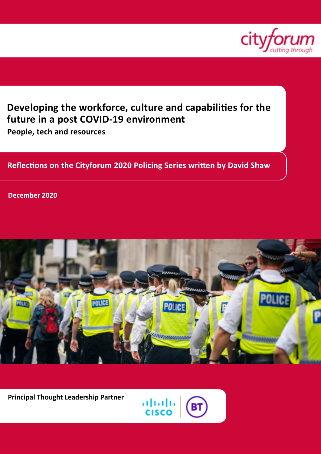

# **Developing the workforce, culture and capabilities for the future in a post COVID-19 environment**

**People, tech and resources**

# **Reflections on the Cityforum 2020 Policing Series written by David Shaw**

**December 2020**



**Principal Thought Leadership Partner**

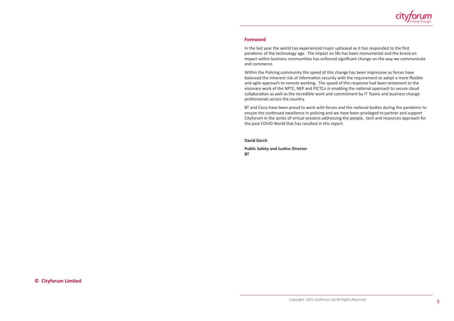**© Cityforum Limited**



#### **Foreword**

In the last year the world has experienced major upheaval as it has responded to the first pandemic of the technology age. The impact on life has been monumental and the knock-on impact within business communities has enforced significant change on the way we communicate and commerce.

Within the Policing community the speed of this change has been impressive as forces have balanced the inherent risk of information security with the requirement to adopt a more flexible and agile approach to remote working. The speed of this response had been testament to the visionary work of the NPTC, NEP and PICTCo in enabling the national approach to secure cloud collaboration as well as the incredible work and commitment by IT Teams and business change professionals across the country.

BT and Cisco have been proud to work with forces and the national bodies during the pandemic to ensure the continued excellence in policing and we have been privileged to partner and support Cityforum in the series of virtual sessions addressing the people, tech and resources approach for the post COVID World that has resulted in this report.

**David Darch**

**Public Safety and Justice Director BT**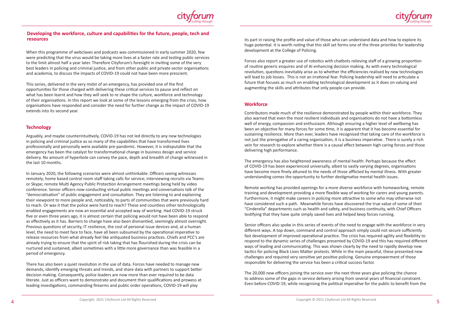its part in raising the profile and value of those who can understand data and how to explore its huge potential. It is worth noting that this skill set forms one of the three priorities for leadership development at the College of Policing.

Forces also report a greater use of robotics with chatbots relieving staff of a growing proportion of routine generic enquires and of AI enhancing decision making. As with every technological revolution, questions inevitably arise as to whether the efficiencies realised by new technologies will lead to job losses. This is not an irrational fear. Policing leadership will need to articulate a future that focuses as much on enabling technological development as it does on valuing and augmenting the skills and attributes that only people can provide.

### **Workforce**

Contributors made much of the resilience demonstrated by people within their workforce. They also warned that even the most resilient individuals and organisations do not have a bottomless well of energy, compassion and enthusiasm. Although ensuring a higher level of wellbeing has been an objective for many forces for some time, it is apparent that it has become essential for sustaining resilience. More than ever, leaders have recognised that taking care of the workforce is not just the prerogative of a caring organisation, it is a business imperative. There is surely a rich vein for research to explore whether there is a causal effect between high caring forces and those delivering high performance.

The emergency has also heightened awareness of mental health. Perhaps because the effect of COVID-19 has been experienced universally, albeit to vastly varying degrees, organisations have become more finely attuned to the needs of those afflicted by mental illness. With greater understanding comes the opportunity to further destigmatise mental health issues.

Remote working has provided openings for a more diverse workforce with homeworking, remote training and development providing a more flexible way of working for carers and young parents. Furthermore, it might make careers in policing more attractive to some who may otherwise not have considered such a path. Meanwhile forces have discovered the true value of some of their "Cinderella" departments such as health and safety, and business continuity, with Chief Officers testifying that they have quite simply saved lives and helped keep forces running.

Senior officers also spoke in this series of events of the need to engage with the workforce in very different ways. A top down, command and control approach simply could not secure sufficiently fast development of improved operational practice. The crisis has required agility and flexibility to respond to the dynamic series of challenges presented by COVID-19 and this has required different ways of leading and communicating. This was shown clearly by the need to rapidly develop new tactics for policing Black Lives Matter protests. While in the main peaceful, these presented new challenges and required very sensitive yet positive policing. Genuine empowerment of those responsible for delivering the service has been a critical success factor.

The 20,000 new officers joining the service over the next three years give policing the chance to address some of the gaps in service delivery arising from several years of financial constraint. Even before COVID-19, while recognising the political imperative for the public to benefit from the





## **Developing the workforce, culture and capabilities for the future, people, tech and resources**

When this programme of webclaves and podcasts was commissioned in early summer 2020, few were predicting that the virus would be taking more lives at a faster rate and testing public services to the limit almost half a year later. Therefore Cityforum's foresight in inviting some of the very best leaders in policing and criminal justice, and from other public and private sector organisations and academia, to discuss the impacts of COVID-19 could not have been more prescient.

This series, delivered in the very midst of an emergency, has provided one of the first opportunities for those charged with delivering these critical services to pause and reflect on what has been learnt and how they will seek to re shape the culture, workforce and technology of their organisations. In this report we look at some of the lessons emerging from the crisis, how organisations have responded and consider the need for further change as the impact of COVID-19 extends into its second year.

#### **Technology**

Arguably, and maybe counterintuitively, COVID-19 has not led directly to any new technologies in policing and criminal justice as so many of the capabilities that have transformed lives professionally and personally were available pre-pandemic. However, it is indisputable that the emergency has been the catalyst for transformational change in business design and service delivery. No amount of hyperbole can convey the pace, depth and breadth of change witnessed in the last 10 months.

In January 2020, the following scenarios were almost unthinkable: Officers seeing witnesses remotely; home based control room staff taking calls for service; interviewing recruits via Teams or Skype; remote Multi Agency Public Protection Arrangement meetings being held by video conference. Senior officers now conducting virtual public meetings and conversations talk of the "democratisation" of public engagement and consultation. They are listening to and explaining their viewpoint to more people and, noticeably, to parts of communities that were previously hard to reach. Or was it that the police were hard to reach? These and countless other technologically enabled engagements are now an essential and accepted way of working. Had COVID-19 struck five or even three years ago, it is almost certain that policing would not have been able to respond as effectively as it has. Barriers to change have also been dismantled, seemingly almost overnight. Previous questions of security, IT resilience, the cost of personal issue devices and, at a human level, the need to meet face to face, have all been subsumed by the operational imperative to release resources from what already feel like antiquated business practices. Chiefs and PCC's are already trying to ensure that the spirit of risk taking that has flourished during the crisis can be nurtured and sustained, albeit sometimes with a little more governance than was feasible in a period of emergency.

There has also been a quiet revolution in the use of data. Forces have needed to manage new demands, identify emerging threats and trends, and share data with partners to support better decision making. Consequently, police leaders are now more than ever required to be data literate. Just as officers want to demonstrate and document their qualifications and prowess at leading investigations, commanding firearms and public order operations, COVID-19 will play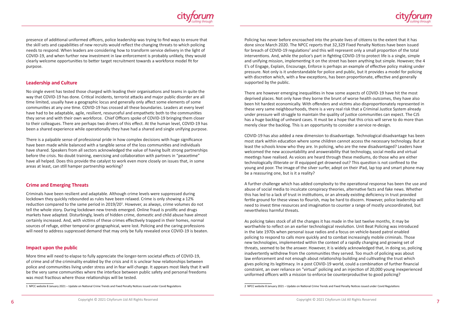Policing has never before encroached into the private lives of citizens to the extent that it has done since March 2020. The NPCC reports that 32,329 Fixed Penalty Notices have been issued for breach of COVID-19 regulations<sup>2</sup> and this will represent only a small proportion of the total interventions. And, while the police's part in fighting COVID-19 to protect life is a single, simple and unifying mission, implementing it on the street has been anything but simple. However, the 4 E's of Engage, Explain, Encourage, Enforce is perhaps an example of effective policy making under pressure. Not only is it understandable for police and public, but it provides a model for policing with discretion which, with a few exceptions, has been proportionate, effective and generally supported by the public.

There are however emerging inequalities in how some aspects of COVID-19 have hit the most deprived places. Not only have they borne the brunt of worse health outcomes, they have also been hit hardest economically. With offenders and victims also disproportionately represented in these very same neighbourhoods, there is a very real risk that a Criminal Justice System already under pressure will struggle to maintain the quality of justice communities can expect. The CJS has a huge backlog of unheard cases. It must be a hope that this crisis will serve to do more than merely clear the backlog. This is an opportunity to consider a service re-design.

COVID-19 has also added a new dimension to disadvantage. Technological disadvantage has been most stark within education where some children cannot access the necessary technology. But at least the schools know who they are. In policing, who are the new disadvantaged? Leaders have welcomed the new accountability and answerability that technology, social media and virtual meetings have realised. As voices are heard through these mediums, do those who are either technologically illiterate or ill equipped get drowned out? This question is not confined to the young and poor. The image of the silver surfer, adept on their iPad, lap top and smart phone may be a reassuring one, but is it a reality?



A further challenge which has added complexity to the operational response has been the use and abuse of social media to inculcate conspiracy theories, alternative facts and fake news. Whether this has led to a lack of trust in institutions, or an already existing deficiency in trust provided fertile ground for these views to flourish, may be hard to discern. However, police leadership will need to invest time resources and imagination to counter a range of mostly uncoordinated, but nevertheless harmful threats.

As policing takes stock of all the changes it has made in the last twelve months, it may be worthwhile to reflect on an earlier technological revolution. Unit Beat Policing was introduced in the late 1970s when personal issue radios and a focus on vehicle-based patrol enabled policing to respond to calls more quickly and to combat increasingly mobile criminals. Those new technologies, implemented within the context of a rapidly changing and growing set of threats, seemed to be the answer. However, it is widely acknowledged that, in doing so, policing inadvertently withdrew from the communities they served. Too much of policing was about law enforcement and not enough about relationship building and cultivating the trust which gives policing its legitimacy. In a post COVID-19 world, could a combination of further financial constraint, an over reliance on "virtual" policing and an injection of 20,000 young inexperienced uniformed officers with a mission to enforce be counterproductive to good policing?



presence of additional uniformed officers, police leadership was trying to find ways to ensure that the skill sets and capabilities of new recruits would reflect the changing threats to which policing needs to respond. When leaders are considering how to transform service delivery in the light of COVID-19, and when further new investment in law enforcement is probably unlikely, they would clearly welcome opportunities to better target recruitment towards a workforce model fit for purpose.

#### **Leadership and Culture**

No single event has tested those charged with leading their organisations and teams in quite the way that COVID-19 has done. Critical incidents, terrorist attacks and major public disorder are all time limited, usually have a geographic locus and generally only affect some elements of some communities at any one time. COVID-19 has crossed all these boundaries. Leaders at every level have had to be adaptable, agile, resilient, resourceful and empathetic both to the communities they serve and with their own workforce. Chief Officers spoke of COVID-19 bringing them closer to their colleagues. There are perhaps two drivers of this effect. At the human level, COVID-19 has been a shared experience while operationally they have had a shared and single unifying purpose.

There is a palpable sense of professional pride in how complex decisions with huge significance have been made while balanced with a tangible sense of the loss communities and individuals have shared. Speakers from all sectors acknowledged the value of having built strong partnerships before the crisis. No doubt training, exercising and collaboration with partners in "peacetime" have all helped. Does this provide the catalyst to work even more closely on issues that, in some areas at least, can still hamper partnership working?

#### **Crime and Emerging Threats**

Criminals have been resilient and adaptable. Although crime levels were suppressed during lockdown they quickly rebounded as rules have been relaxed. Crime is only showing a 12% reduction compared to the same period in 2019/20<sup>1</sup>. However, as always, crime volumes do not tell the whole story. During lockdown new trends emerged. Online fraud is prolific and drugs markets have adapted. Disturbingly, levels of hidden crime, domestic and child abuse have almost certainly increased. And, with victims of these crimes effectively trapped in their homes, normal sources of refuge, either temporal or geographical, were lost. Policing and the caring professions will need to address suppressed demand that may only be fully revealed once COVID-19 is beaten.

#### **Impact upon the public**

More time will need to elapse to fully appreciate the longer-term societal effects of COVID-19, of crime and of the criminality enabled by the crisis and it is unclear how relationships between police and communities living under stress and in fear will change. It appears most likely that it will be the very same communities where the interface between public safety and personal freedoms was most fractious where those relationships will be tested.

<sup>2</sup> NPCC website 8 January 2021 – Update on National Crime Trends and Fixed Penalty Notices issued under Covid Regulations

<sup>1</sup> NPCC website 8 January 2021 – Update on National Crime Trends and Fixed Penalty Notices issued under Covid Regulations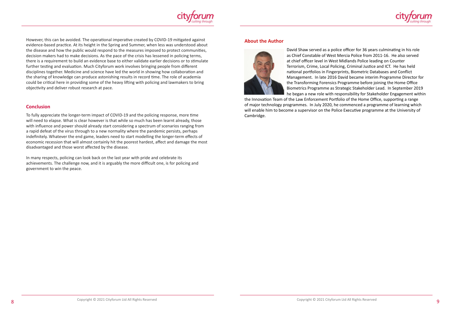#### **About the Author**





David Shaw served as a police officer for 36 years culminating in his role as Chief Constable of West Mercia Police from 2011-16. He also served at chief officer level in West Midlands Police leading on Counter Terrorism, Crime, Local Policing, Criminal Justice and ICT. He has held national portfolios in Fingerprints, Biometric Databases and Conflict Management. In late 2016 David became interim Programme Director for the Transforming Forensics Programme before joining the Home Office Biometrics Programme as Strategic Stakeholder Lead. In September 2019 he began a new role with responsibility for Stakeholder Engagement within the Innovation Team of the Law Enforcement Portfolio of the Home Office, supporting a range of major technology programmes. In July 2020, he commenced a programme of learning which will enable him to become a supervisor on the Police Executive programme at the University of Cambridge.



However, this can be avoided. The operational imperative created by COVID-19 mitigated against evidence-based practice. At its height in the Spring and Summer, when less was understood about the disease and how the public would respond to the measures imposed to protect communities, decision makers had to make decisions. As the pace of the crisis has lessened in policing terms, there is a requirement to build an evidence base to either validate earlier decisions or to stimulate further testing and evaluation. Much Cityforum work involves bringing people from different disciplines together. Medicine and science have led the world in showing how collaboration and the sharing of knowledge can produce astonishing results in record time. The role of academia could be critical here in providing some of the heavy lifting with policing and lawmakers to bring objectivity and deliver robust research at pace.

#### **Conclusion**

To fully appreciate the longer-term impact of COVID-19 and the policing response, more time will need to elapse. What is clear however is that while so much has been learnt already, those with influence and power should already start considering a spectrum of scenarios ranging from a rapid defeat of the virus through to a new normality where the pandemic persists, perhaps indefinitely. Whatever the end game, leaders need to start modelling the longer-term effects of economic recession that will almost certainly hit the poorest hardest, affect and damage the most disadvantaged and those worst affected by the disease.

In many respects, policing can look back on the last year with pride and celebrate its achievements. The challenge now, and it is arguably the more difficult one, is for policing and government to win the peace.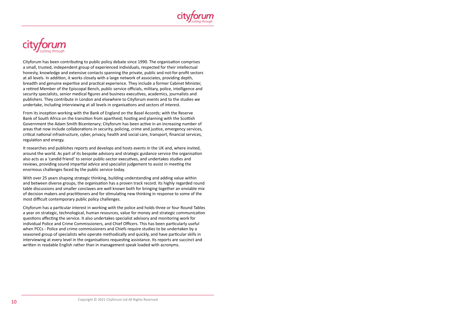



Cityforum has been contributing to public policy debate since 1990. The organisation comprises a small, trusted, independent group of experienced individuals, respected for their intellectual honesty, knowledge and extensive contacts spanning the private, public and not-for-profit sectors at all levels. In addition, it works closely with a large network of associates, providing depth, breadth and genuine expertise and practical experience. They include a former Cabinet Minister, a retired Member of the Episcopal Bench, public service officials, military, police, intelligence and security specialists, senior medical figures and business executives, academics, journalists and publishers. They contribute in London and elsewhere to Cityforum events and to the studies we undertake, including interviewing at all levels in organisations and sectors of interest.

From its inception working with the Bank of England on the Basel Accords; with the Reserve Bank of South Africa on the transition from apartheid; hosting and planning with the Scottish Government the Adam Smith Bicentenary; Cityforum has been active in an increasing number of areas that now include collaborations in security, policing, crime and justice, emergency services, critical national infrastructure, cyber, privacy, health and social care, transport, financial services, regulation and energy.

It researches and publishes reports and develops and hosts events in the UK and, where invited, around the world. As part of its bespoke advisory and strategic guidance service the organisation also acts as a 'candid friend' to senior public-sector executives, and undertakes studies and reviews, providing sound impartial advice and specialist judgement to assist in meeting the enormous challenges faced by the public service today.

With over 25 years shaping strategic thinking, building understanding and adding value within and between diverse groups, the organisation has a proven track record. Its highly regarded round table discussions and smaller conclaves are well known both for bringing together an enviable mix of decision makers and practitioners and for stimulating new thinking in response to some of the most difficult contemporary public policy challenges.

Cityforum has a particular interest in working with the police and holds three or four Round Tables a year on strategic, technological, human resources, value for money and strategic communication questions affecting the service. It also undertakes specialist advisory and monitoring work for individual Police and Crime Commissioners, and Chief Officers. This has been particularly useful when PCCs - Police and crime commissioners and Chiefs require studies to be undertaken by a seasoned group of specialists who operate methodically and quickly, and have particular skills in interviewing at every level in the organisations requesting assistance. Its reports are succinct and written in readable English rather than in management speak loaded with acronyms.